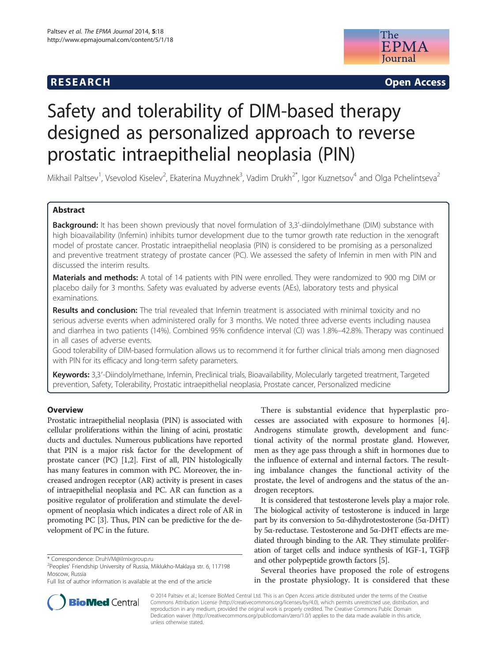## **RESEARCH RESEARCH CONSUMING ACCESS**



# Safety and tolerability of DIM-based therapy designed as personalized approach to reverse prostatic intraepithelial neoplasia (PIN)

Mikhail Paltsev<sup>1</sup>, Vsevolod Kiselev<sup>2</sup>, Ekaterina Muyzhnek<sup>3</sup>, Vadim Drukh<sup>2\*</sup>, Igor Kuznetsov<sup>4</sup> and Olga Pchelintseva<sup>2</sup>

## Abstract

Background: It has been shown previously that novel formulation of 3,3'-diindolylmethane (DIM) substance with high bioavailability (Infemin) inhibits tumor development due to the tumor growth rate reduction in the xenograft model of prostate cancer. Prostatic intraepithelial neoplasia (PIN) is considered to be promising as a personalized and preventive treatment strategy of prostate cancer (PC). We assessed the safety of Infemin in men with PIN and discussed the interim results.

Materials and methods: A total of 14 patients with PIN were enrolled. They were randomized to 900 mg DIM or placebo daily for 3 months. Safety was evaluated by adverse events (AEs), laboratory tests and physical examinations.

Results and conclusion: The trial revealed that Infemin treatment is associated with minimal toxicity and no serious adverse events when administered orally for 3 months. We noted three adverse events including nausea and diarrhea in two patients (14%). Combined 95% confidence interval (CI) was 1.8%–42.8%. Therapy was continued in all cases of adverse events.

Good tolerability of DIM-based formulation allows us to recommend it for further clinical trials among men diagnosed with PIN for its efficacy and long-term safety parameters.

Keywords: 3,3'-Diindolylmethane, Infemin, Preclinical trials, Bioavailability, Molecularly targeted treatment, Targeted prevention, Safety, Tolerability, Prostatic intraepithelial neoplasia, Prostate cancer, Personalized medicine

## **Overview**

Prostatic intraepithelial neoplasia (PIN) is associated with cellular proliferations within the lining of acini, prostatic ducts and ductules. Numerous publications have reported that PIN is a major risk factor for the development of prostate cancer (РС) [[1,2](#page-3-0)]. First of all, PIN histologically has many features in common with РС. Moreover, the increased androgen receptor (AR) activity is present in cases of intraepithelial neoplasia and PC. AR can function as a positive regulator of proliferation and stimulate the development of neoplasia which indicates a direct role of AR in promoting PC [[3\]](#page-3-0). Thus, PIN can be predictive for the development of РС in the future.

There is substantial evidence that hyperplastic processes are associated with exposure to hormones [\[4](#page-3-0)]. Androgens stimulate growth, development and functional activity of the normal prostate gland. However, men as they age pass through a shift in hormones due to the influence of external and internal factors. The resulting imbalance changes the functional activity of the prostate, the level of androgens and the status of the androgen receptors.

It is considered that testosterone levels play a major role. The biological activity of testosterone is induced in large part by its conversion to 5α-dihydrotestosterone (5α-DHT) by 5α-reductase. Testosterone and 5α-DHT effects are mediated through binding to the AR. They stimulate proliferation of target cells and induce synthesis of IGF-1, TGFβ and other polypeptide growth factors [\[5\]](#page-3-0).

Several theories have proposed the role of estrogens in the prostate physiology. It is considered that these



© 2014 Paltsev et al.; licensee BioMed Central Ltd. This is an Open Access article distributed under the terms of the Creative Commons Attribution License [\(http://creativecommons.org/licenses/by/4.0\)](http://creativecommons.org/licenses/by/4.0), which permits unrestricted use, distribution, and reproduction in any medium, provided the original work is properly credited. The Creative Commons Public Domain Dedication waiver [\(http://creativecommons.org/publicdomain/zero/1.0/](http://creativecommons.org/publicdomain/zero/1.0/)) applies to the data made available in this article, unless otherwise stated.

<sup>\*</sup> Correspondence: [DruhVM@ilmixgroup.ru](mailto:DruhVM@ilmixgroup.ru) <sup>2</sup>

<sup>&</sup>lt;sup>2</sup>Peoples' Friendship University of Russia, Miklukho-Maklaya str. 6, 117198 Moscow, Russia

Full list of author information is available at the end of the article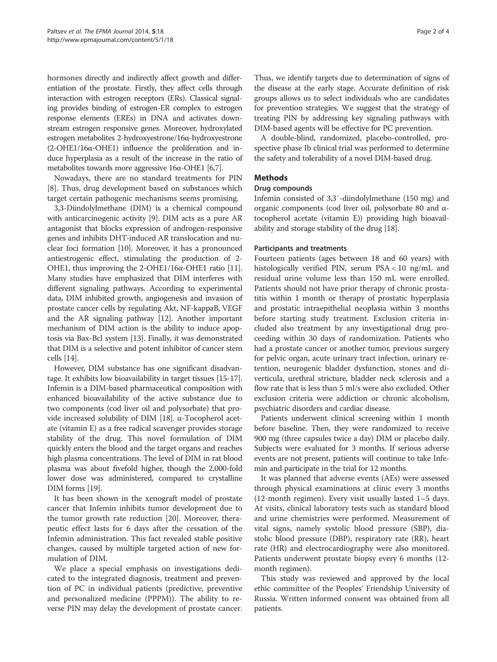hormones directly and indirectly affect growth and differentiation of the prostate. Firstly, they affect cells through interaction with estrogen receptors (ERs). Classical signaling provides binding of estrogen-ER complex to estrogen response elements (EREs) in DNA and activates downstream estrogen responsive genes. Moreover, hydroxylated estrogen metabolites 2-hydroxyestrone/16α-hydroxyestrone (2-OHE1/16α-OHE1) influence the proliferation and induce hyperplasia as a result of the increase in the ratio of metabolites towards more aggressive 16α-OHE1 [\[6,7](#page-3-0)].

Nowadays, there are no standard treatments for PIN [[8\]](#page-3-0). Thus, drug development based on substances which target certain pathogenic mechanisms seems promising.

3,3-Diindolylmethane (DIM) is a chemical compound with anticarcinogenic activity [\[9](#page-3-0)]. DIM acts as a pure AR antagonist that blocks expression of androgen-responsive genes and inhibits DHT-induced AR translocation and nuclear foci formation [\[10](#page-3-0)]. Moreover, it has a pronounced antiestrogenic effect, stimulating the production of 2- OHE1, thus improving the 2-OHE1/16α-OHE1 ratio [[11](#page-3-0)]. Many studies have emphasized that DIM interferes with different signaling pathways. According to experimental data, DIM inhibited growth, angiogenesis and invasion of prostate cancer cells by regulating Akt, NF-kappaB, VEGF and the AR signaling pathway [[12](#page-3-0)]. Another important mechanism of DIM action is the ability to induce apoptosis via Bax-Bcl system [\[13](#page-3-0)]. Finally, it was demonstrated that DIM is a selective and potent inhibitor of cancer stem cells [[14](#page-3-0)].

However, DIM substance has one significant disadvantage. It exhibits low bioavailability in target tissues [[15](#page-3-0)-[17](#page-3-0)]. Infemin is a DIM-based pharmaceutical composition with enhanced bioavailability of the active substance due to two components (cod liver oil and polysorbate) that provide increased solubility of DIM [\[18](#page-3-0)]. α-Tocopherol acetate (vitamin E) as a free radical scavenger provides storage stability of the drug. This novel formulation of DIM quickly enters the blood and the target organs and reaches high plasma concentrations. The level of DIM in rat blood plasma was about fivefold higher, though the 2,000-fold lower dose was administered, compared to crystalline DIM forms [\[19](#page-3-0)].

It has been shown in the xenograft model of prostate cancer that Infemin inhibits tumor development due to the tumor growth rate reduction [[20](#page-3-0)]. Moreover, therapeutic effect lasts for 6 days after the cessation of the Infemin administration. This fact revealed stable positive changes, caused by multiple targeted action of new formulation of DIM.

We place a special emphasis on investigations dedicated to the integrated diagnosis, treatment and prevention of PC in individual patients (predictive, preventive and personalized medicine (PPPM)). The ability to reverse PIN may delay the development of prostate cancer.

Thus, we identify targets due to determination of signs of the disease at the early stage. Accurate definition of risk groups allows us to select individuals who are candidates for prevention strategies. We suggest that the strategy of treating PIN by addressing key signaling pathways with DIM-based agents will be effective for PC prevention.

A double-blind, randomized, placebo-controlled, prospective phase Ib clinical trial was performed to determine the safety and tolerability of a novel DIM-based drug.

## Methods

## Drug compounds

Infemin consisted of 3,3′-diindolylmethane (150 mg) and organic components (cod liver oil, polysorbate 80 and αtocopherol acetate (vitamin E)) providing high bioavailability and storage stability of the drug [[18](#page-3-0)].

## Participants and treatments

Fourteen patients (ages between 18 and 60 years) with histologically verified PIN, serum PSA < 10 ng/mL and residual urine volume less than 150 mL were enrolled. Patients should not have prior therapy of chronic prostatitis within 1 month or therapy of prostatic hyperplasia and prostatic intraepithelial neoplasia within 3 months before starting study treatment. Exclusion criteria included also treatment by any investigational drug proceeding within 30 days of randomization. Patients who had a prostate cancer or another tumor, previous surgery for pelvic organ, acute urinary tract infection, urinary retention, neurogenic bladder dysfunction, stones and diverticula, urethral stricture, bladder neck sclerosis and a flow rate that is less than 5 ml/s were also excluded. Other exclusion criteria were addiction or chronic alcoholism, psychiatric disorders and cardiac disease.

Patients underwent clinical screening within 1 month before baseline. Then, they were randomized to receive 900 mg (three capsules twice a day) DIM or placebo daily. Subjects were evaluated for 3 months. If serious adverse events are not present, patients will continue to take Infemin and participate in the trial for 12 months.

It was planned that adverse events (AEs) were assessed through physical examinations at clinic every 3 months (12-month regimen). Every visit usually lasted 1–5 days. At visits, clinical laboratory tests such as standard blood and urine chemistries were performed. Measurement of vital signs, namely systolic blood pressure (SBP), diastolic blood pressure (DBP), respiratory rate (RR), heart rate (HR) and electrocardiography were also monitored. Patients underwent prostate biopsy every 6 months (12 month regimen).

This study was reviewed and approved by the local ethic committee of the Peoples' Friendship University of Russia. Written informed consent was obtained from all patients.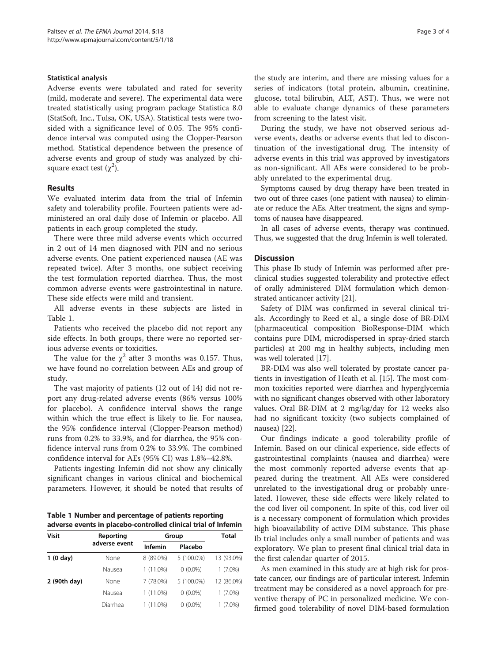## Statistical analysis

Adverse events were tabulated and rated for severity (mild, moderate and severe). The experimental data were treated statistically using program package Statistica 8.0 (StatSoft, Inc., Tulsa, OK, USA). Statistical tests were twosided with a significance level of 0.05. The 95% confidence interval was computed using the Clopper-Pearson method. Statistical dependence between the presence of adverse events and group of study was analyzed by chisquare exact test  $(\chi^2)$ .

## Results

We evaluated interim data from the trial of Infemin safety and tolerability profile. Fourteen patients were administered an oral daily dose of Infemin or placebo. All patients in each group completed the study.

There were three mild adverse events which occurred in 2 out of 14 men diagnosed with PIN and no serious adverse events. One patient experienced nausea (AE was repeated twice). After 3 months, one subject receiving the test formulation reported diarrhea. Thus, the most common adverse events were gastrointestinal in nature. These side effects were mild and transient.

All adverse events in these subjects are listed in Table 1.

Patients who received the placebo did not report any side effects. In both groups, there were no reported serious adverse events or toxicities.

The value for the  $\chi^2$  after 3 months was 0.157. Thus, we have found no correlation between AEs and group of study.

The vast majority of patients (12 out of 14) did not report any drug-related adverse events (86% versus 100% for placebo). A confidence interval shows the range within which the true effect is likely to lie. For nausea, the 95% confidence interval (Clopper-Pearson method) runs from 0.2% to 33.9%, and for diarrhea, the 95% confidence interval runs from 0.2% to 33.9%. The combined confidence interval for AEs (95% CI) was 1.8%–42.8%.

Patients ingesting Infemin did not show any clinically significant changes in various clinical and biochemical parameters. However, it should be noted that results of

Table 1 Number and percentage of patients reporting adverse events in placebo-controlled clinical trial of Infemin

| <b>Visit</b>       | Reporting<br>adverse event | Group       |            | Total      |
|--------------------|----------------------------|-------------|------------|------------|
|                    |                            | Infemin     | Placebo    |            |
| $1(0 \text{ day})$ | None                       | 8 (89.0%)   | 5 (100.0%) | 13 (93.0%) |
|                    | Nausea                     | $1(11.0\%)$ | $0(0.0\%)$ | $(7.0\%)$  |
| 2 (90th day)       | None                       | 7 (78.0%)   | 5 (100.0%) | 12 (86.0%) |
|                    | Nausea                     | 1 (11.0%)   | $0(0.0\%)$ | $1(7.0\%)$ |
|                    | Diarrhea                   | 1 (11.0%)   | $0(0.0\%)$ | $(7.0\%)$  |

the study are interim, and there are missing values for a series of indicators (total protein, albumin, creatinine, glucose, total bilirubin, ALT, AST). Thus, we were not able to evaluate change dynamics of these parameters from screening to the latest visit.

During the study, we have not observed serious adverse events, deaths or adverse events that led to discontinuation of the investigational drug. The intensity of adverse events in this trial was approved by investigators as non-significant. All AEs were considered to be probably unrelated to the experimental drug.

Symptoms caused by drug therapy have been treated in two out of three cases (one patient with nausea) to eliminate or reduce the AEs. After treatment, the signs and symptoms of nausea have disappeared.

In all cases of adverse events, therapy was continued. Thus, we suggested that the drug Infemin is well tolerated.

## **Discussion**

This phase Ib study of Infemin was performed after preclinical studies suggested tolerability and protective effect of orally administered DIM formulation which demonstrated anticancer activity [[21](#page-3-0)].

Safety of DIM was confirmed in several clinical trials. Accordingly to Reed et al., a single dose of BR-DIM (pharmaceutical composition BioResponse-DIM which contains pure DIM, microdispersed in spray-dried starch particles) at 200 mg in healthy subjects, including men was well tolerated [[17\]](#page-3-0).

BR-DIM was also well tolerated by prostate cancer patients in investigation of Heath et al. [\[15\]](#page-3-0). The most common toxicities reported were diarrhea and hyperglycemia with no significant changes observed with other laboratory values. Oral BR-DIM at 2 mg/kg/day for 12 weeks also had no significant toxicity (two subjects complained of nausea) [[22](#page-3-0)].

Our findings indicate a good tolerability profile of Infemin. Based on our clinical experience, side effects of gastrointestinal complaints (nausea and diarrhea) were the most commonly reported adverse events that appeared during the treatment. All AEs were considered unrelated to the investigational drug or probably unrelated. However, these side effects were likely related to the cod liver oil component. In spite of this, cod liver oil is a necessary component of formulation which provides high bioavailability of active DIM substance. This phase Ib trial includes only a small number of patients and was exploratory. We plan to present final clinical trial data in the first calendar quarter of 2015.

As men examined in this study are at high risk for prostate cancer, our findings are of particular interest. Infemin treatment may be considered as a novel approach for preventive therapy of PC in personalized medicine. We confirmed good tolerability of novel DIM-based formulation